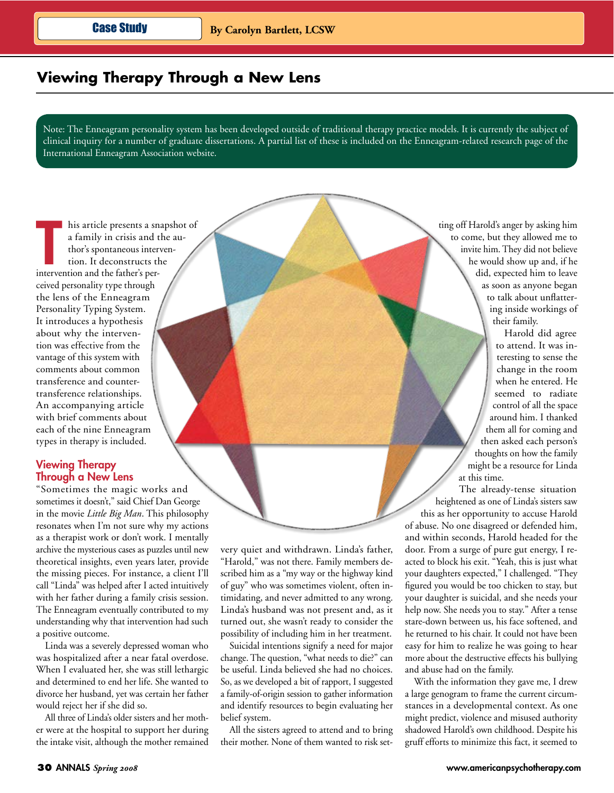# Viewing Therapy Through a New Lens

Note: The Enneagram personality system has been developed outside of traditional therapy practice models. It is currently the subject of clinical inquiry for a number of graduate dissertations. A partial list of these is included on the Enneagram-related research page of the International Enneagram Association website.

his article presents a snapshot of a family in crisis and the author's spontaneous intervention. It deconstructs the intervention and the father's perceived personality type through the lens of the Enneagram Personality Typing System. It introduces a hypothesis about why the intervention was effective from the vantage of this system with comments about common transference and countertransference relationships. An accompanying article with brief comments about each of the nine Enneagram types in therapy is included.

## **Viewing Therapy Through a New Lens**

"Sometimes the magic works and sometimes it doesn't," said Chief Dan George in the movie Little Big Man. This philosophy resonates when I'm not sure why my actions as a therapist work or don't work. I mentally archive the mysterious cases as puzzles until new theoretical insights, even years later, provide the missing pieces. For instance, a client I'll call "Linda" was helped after I acted intuitively with her father during a family crisis session. The Enneagram eventually contributed to my understanding why that intervention had such a positive outcome.

Linda was a severely depressed woman who was hospitalized after a near fatal overdose. When I evaluated her, she was still lethargic and determined to end her life. She wanted to divorce her husband, yet was certain her father would reject her if she did so.

All three of Linda's older sisters and her mother were at the hospital to support her during the intake visit, although the mother remained

very quiet and withdrawn. Linda's father, "Harold," was not there. Family members described him as a "my way or the highway kind of guy" who was sometimes violent, often intimidating, and never admitted to any wrong. Linda's husband was not present and, as it turned out, she wasn't ready to consider the possibility of including him in her treatment.

Suicidal intentions signify a need for major change. The question, "what needs to die?" can be useful. Linda believed she had no choices. So, as we developed a bit of rapport, I suggested a family-of-origin session to gather information and identify resources to begin evaluating her belief system.

All the sisters agreed to attend and to bring their mother. None of them wanted to risk setting off Harold's anger by asking him to come, but they allowed me to invite him. They did not believe he would show up and, if he did, expected him to leave as soon as anyone began to talk about unflattering inside workings of their family.

> Harold did agree to attend. It was interesting to sense the change in the room when he entered. He seemed to radiate control of all the space around him. I thanked them all for coming and then asked each person's thoughts on how the family might be a resource for Linda at this time.

The already-tense situation heightened as one of Linda's sisters saw this as her opportunity to accuse Harold of abuse. No one disagreed or defended him, and within seconds, Harold headed for the door. From a surge of pure gut energy, I reacted to block his exit. "Yeah, this is just what your daughters expected," I challenged. "They figured you would be too chicken to stay, but your daughter is suicidal, and she needs your help now. She needs you to stay." After a tense stare-down between us, his face softened, and he returned to his chair. It could not have been easy for him to realize he was going to hear more about the destructive effects his bullying and abuse had on the family.

With the information they gave me, I drew a large genogram to frame the current circumstances in a developmental context. As one might predict, violence and misused authority shadowed Harold's own childhood. Despite his gruff efforts to minimize this fact, it seemed to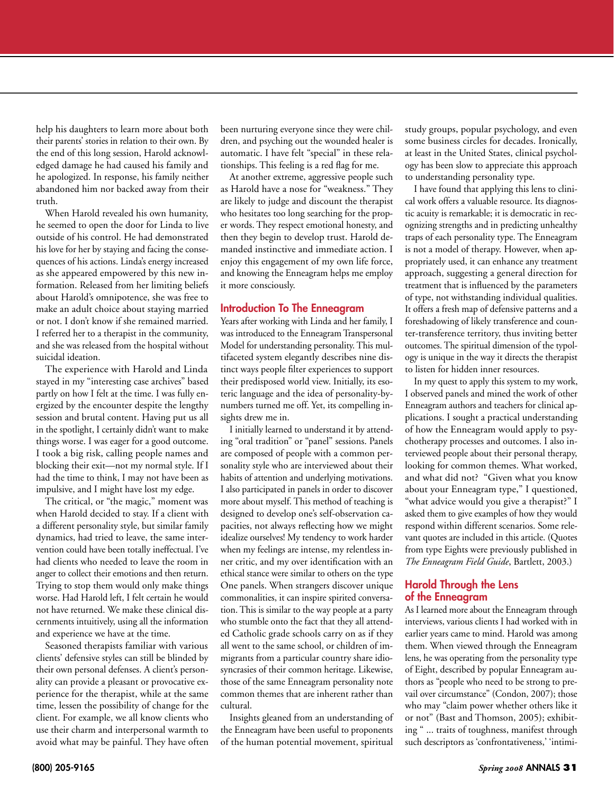help his daughters to learn more about both their parents' stories in relation to their own. By the end of this long session, Harold acknowledged damage he had caused his family and he apologized. In response, his family neither abandoned him nor backed away from their truth.

When Harold revealed his own humanity, he seemed to open the door for Linda to live outside of his control. He had demonstrated his love for her by staying and facing the consequences of his actions. Linda's energy increased as she appeared empowered by this new information. Released from her limiting beliefs about Harold's omnipotence, she was free to make an adult choice about staying married or not. I don't know if she remained married. I referred her to a therapist in the community, and she was released from the hospital without suicidal ideation.

The experience with Harold and Linda stayed in my "interesting case archives" based partly on how I felt at the time. I was fully energized by the encounter despite the lengthy session and brutal content. Having put us all in the spotlight, I certainly didn't want to make things worse. I was eager for a good outcome. I took a big risk, calling people names and blocking their exit—not my normal style. If I had the time to think, I may not have been as impulsive, and I might have lost my edge.

The critical, or "the magic," moment was when Harold decided to stay. If a client with a different personality style, but similar family dynamics, had tried to leave, the same intervention could have been totally ineffectual. I've had clients who needed to leave the room in anger to collect their emotions and then return. Trying to stop them would only make things worse. Had Harold left, I felt certain he would not have returned. We make these clinical discernments intuitively, using all the information and experience we have at the time.

Seasoned therapists familiar with various clients' defensive styles can still be blinded by their own personal defenses. A client's personality can provide a pleasant or provocative experience for the therapist, while at the same time, lessen the possibility of change for the client. For example, we all know clients who use their charm and interpersonal warmth to avoid what may be painful. They have often

been nurturing everyone since they were children, and psyching out the wounded healer is automatic. I have felt "special" in these relationships. This feeling is a red flag for me.

At another extreme, aggressive people such as Harold have a nose for "weakness." They are likely to judge and discount the therapist who hesitates too long searching for the proper words. They respect emotional honesty, and then they begin to develop trust. Harold demanded instinctive and immediate action. I enjoy this engagement of my own life force, and knowing the Enneagram helps me employ it more consciously.

## Introduction To The Enneagram

Years after working with Linda and her family, I was introduced to the Enneagram Transpersonal Model for understanding personality. This multifaceted system elegantly describes nine distinct ways people filter experiences to support their predisposed world view. Initially, its esoteric language and the idea of personality-bynumbers turned me off. Yet, its compelling insights drew me in.

I initially learned to understand it by attending "oral tradition" or "panel" sessions. Panels are composed of people with a common personality style who are interviewed about their habits of attention and underlying motivations. I also participated in panels in order to discover more about myself. This method of teaching is designed to develop one's self-observation capacities, not always reflecting how we might idealize ourselves! My tendency to work harder when my feelings are intense, my relentless inner critic, and my over identification with an ethical stance were similar to others on the type One panels. When strangers discover unique commonalities, it can inspire spirited conversation. This is similar to the way people at a party who stumble onto the fact that they all attended Catholic grade schools carry on as if they all went to the same school, or children of immigrants from a particular country share idiosyncrasies of their common heritage. Likewise, those of the same Enneagram personality note common themes that are inherent rather than cultural.

Insights gleaned from an understanding of the Enneagram have been useful to proponents of the human potential movement, spiritual

study groups, popular psychology, and even some business circles for decades. Ironically, at least in the United States, clinical psychology has been slow to appreciate this approach to understanding personality type.

I have found that applying this lens to clinical work offers a valuable resource. Its diagnostic acuity is remarkable; it is democratic in recognizing strengths and in predicting unhealthy traps of each personality type. The Enneagram is not a model of therapy. However, when appropriately used, it can enhance any treatment approach, suggesting a general direction for treatment that is influenced by the parameters of type, not withstanding individual qualities. It offers a fresh map of defensive patterns and a foreshadowing of likely transference and counter-transference territory, thus inviting better outcomes. The spiritual dimension of the typology is unique in the way it directs the therapist to listen for hidden inner resources.

In my quest to apply this system to my work, I observed panels and mined the work of other Enneagram authors and teachers for clinical applications. I sought a practical understanding of how the Enneagram would apply to psychotherapy processes and outcomes. I also interviewed people about their personal therapy, looking for common themes. What worked, and what did not? "Given what you know about your Enneagram type," I questioned, "what advice would you give a therapist?" I asked them to give examples of how they would respond within different scenarios. Some relevant quotes are included in this article. (Quotes from type Eights were previously published in *The Enneagram Field Guide*, Bartlett, 2003.)

## Harold Through the Lens of the Enneagram

As I learned more about the Enneagram through interviews, various clients I had worked with in earlier years came to mind. Harold was among them. When viewed through the Enneagram lens, he was operating from the personality type of Eight, described by popular Enneagram authors as "people who need to be strong to prevail over circumstance" (Condon, 2007); those who may "claim power whether others like it or not" (Bast and Thomson, 2005); exhibiting " ... traits of toughness, manifest through such descriptors as 'confrontativeness,' 'intimi-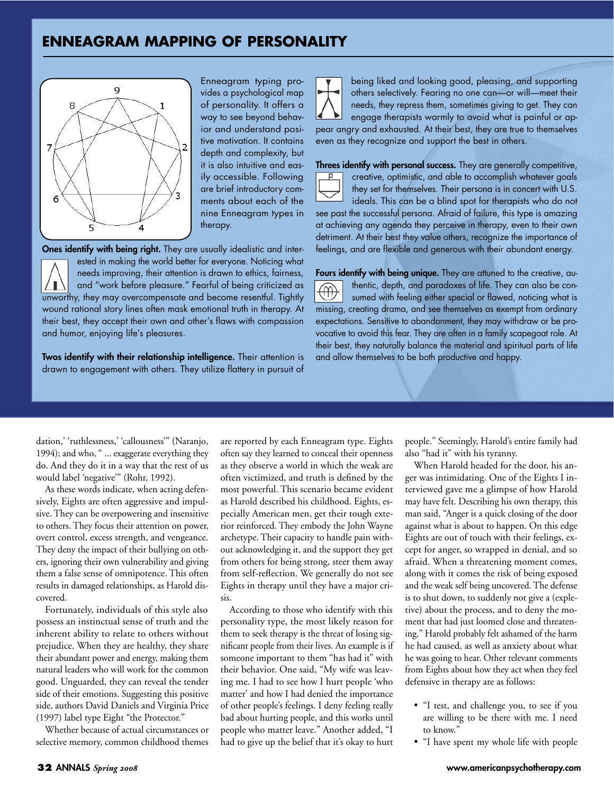## **ENNEAGRAM MAPPING OF PERSONALITY**



Enneagram typing provides a psychological map of personality. It offers a way to see beyond behavior and understand positive motivation. It contains depth and complexity, but it is also intuitive and easily accessible. Following are brief introductory comments about each of the nine Enneagram types in therapy.

Ones identify with being right. They are usually idealistic and interested in making the world better for everyone. Noticing what needs improving, their attention is drawn to ethics, fairness, and "work before pleasure." Fearful of being criticized as unworthy, they may overcompensate and become resentful. Tightly wound rational story lines often mask emotional truth in therapy. At their best, they accept their own and other's flaws with compassion and humor, enjoying life's pleasures.

Twos identify with their relationship intelligence. Their attention is drawn to engagement with others. They utilize flattery in pursuit of

being liked and looking good, pleasing, and supporting others selectively. Fearing no one can-or will-meet their needs, they repress them, sometimes giving to get. They can engage therapists warmly to avoid what is painful or appear angry and exhausted. At their best, they are true to themselves even as they recognize and support the best in others.

Threes identify with personal success. They are generally competitive, creative, optimistic, and able to accomplish whatever goals they set for themselves. Their persona is in concert with U.S. ideals. This can be a blind spot for therapists who do not

see past the successful persona. Afraid of failure, this type is amazing at achieving any agenda they perceive in therapy, even to their own detriment. At their best they value others, recognize the importance of feelings, and are flexible and generous with their abundant energy.

Fours identify with being unique. They are attuned to the creative, authentic, depth, and paradoxes of life. They can also be consumed with feeling either special or flawed, noticing what is missing, creating drama, and see themselves as exempt from ordinary expectations. Sensitive to abandonment, they may withdraw or be provocative to avoid this fear. They are often in a family scapegoat role. At their best, they naturally balance the material and spiritual parts of life and allow themselves to be both productive and happy.

dation, 'ruthlessness, 'callousness'" (Naranjo, 1994); and who, " ... exaggerate everything they do. And they do it in a way that the rest of us would label 'negative'" (Rohr, 1992).

As these words indicate, when acting defensively, Eights are often aggressive and impulsive. They can be overpowering and insensitive to others. They focus their attention on power, overt control, excess strength, and vengeance. They deny the impact of their bullying on others, ignoring their own vulnerability and giving them a false sense of omnipotence. This often results in damaged relationships, as Harold discovered.

Fortunately, individuals of this style also possess an instinctual sense of truth and the inherent ability to relate to others without prejudice. When they are healthy, they share their abundant power and energy, making them natural leaders who will work for the common good. Unguarded, they can reveal the tender side of their emotions. Suggesting this positive side, authors David Daniels and Virginia Price (1997) label type Eight "the Protector."

Whether because of actual circumstances or selective memory, common childhood themes are reported by each Enneagram type. Eights often say they learned to conceal their openness as they observe a world in which the weak are often victimized, and truth is defined by the most powerful. This scenario became evident as Harold described his childhood. Eights, especially American men, get their tough exterior reinforced. They embody the John Wayne archetype. Their capacity to handle pain without acknowledging it, and the support they get from others for being strong, steer them away from self-reflection. We generally do not see Eights in therapy until they have a major crisis.

According to those who identify with this personality type, the most likely reason for them to seek therapy is the threat of losing significant people from their lives. An example is if someone important to them "has had it" with their behavior. One said, "My wife was leaving me. I had to see how I hurt people 'who matter' and how I had denied the importance of other people's feelings. I deny feeling really bad about hurting people, and this works until people who matter leave." Another added, "I had to give up the belief that it's okay to hurt people." Seemingly, Harold's entire family had also "had it" with his tyranny.

When Harold headed for the door, his anger was intimidating. One of the Eights I interviewed gave me a glimpse of how Harold may have felt. Describing his own therapy, this man said, "Anger is a quick closing of the door against what is about to happen. On this edge Eights are out of touch with their feelings, except for anger, so wrapped in denial, and so afraid. When a threatening moment comes, along with it comes the risk of being exposed and the weak self being uncovered. The defense is to shut down, to suddenly not give a (expletive) about the process, and to deny the moment that had just loomed close and threatening." Harold probably felt ashamed of the harm he had caused, as well as anxiety about what he was going to hear. Other relevant comments from Eights about how they act when they feel defensive in therapy are as follows:

- "I test, and challenge you, to see if you are willing to be there with me. I need to know."
- "I have spent my whole life with people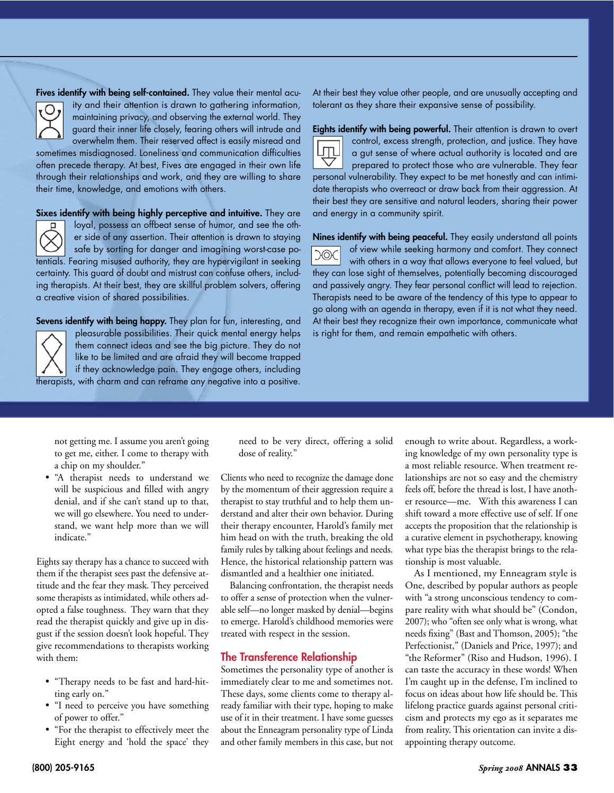Fives identify with being self-contained. They value their mental acuity and their attention is drawn to gathering information, maintaining privacy, and observing the external world. They guard their inner life closely, fearing others will intrude and overwhelm them. Their reserved affect is easily misread and

sometimes misdiagnosed. Loneliness and communication difficulties often precede therapy. At best, Fives are engaged in their own life through their relationships and work, and they are willing to share their time, knowledge, and emotions with others.

Sixes identify with being highly perceptive and intuitive. They are



O

loyal, possess an offbeat sense of humor, and see the other side of any assertion. Their attention is drawn to staying safe by sorting for danger and imagining worst-case potentials. Fearing misused authority, they are hypervigilant in seeking

certainty. This guard of doubt and mistrust can confuse others, including therapists. At their best, they are skillful problem solvers, offering a creative vision of shared possibilities.

Sevens identify with being happy. They plan for fun, interesting, and pleasurable possibilities. Their quick mental energy helps them connect ideas and see the big picture. They do not like to be limited and are afraid they will become trapped if they acknowledge pain. They engage others, including therapists, with charm and can reframe any negative into a positive. At their best they value other people, and are unusually accepting and tolerant as they share their expansive sense of possibility.



Eights identify with being powerful. Their attention is drawn to overt control, excess strength, protection, and justice. They have a gut sense of where actual authority is located and are prepared to protect those who are vulnerable. They fear personal vulnerability. They expect to be met honestly and can intimidate therapists who overreact or draw back from their aggression. At their best they are sensitive and natural leaders, sharing their power and energy in a community spirit.

Nines identify with being peaceful. They easily understand all points of view while seeking harmony and comfort. They connect **COC** with others in a way that allows everyone to feel valued, but they can lose sight of themselves, potentially becoming discouraged and passively angry. They fear personal conflict will lead to rejection. Therapists need to be aware of the tendency of this type to appear to go along with an agenda in therapy, even if it is not what they need. At their best they recognize their own importance, communicate what is right for them, and remain empathetic with others.

not getting me. I assume you aren't going to get me, either. I come to therapy with a chip on my shoulder."

• "A therapist needs to understand we will be suspicious and filled with angry denial, and if she can't stand up to that, we will go elsewhere. You need to understand, we want help more than we will indicate."

Eights say therapy has a chance to succeed with them if the therapist sees past the defensive attitude and the fear they mask. They perceived some therapists as intimidated, while others adopted a false toughness. They warn that they read the therapist quickly and give up in disgust if the session doesn't look hopeful. They give recommendations to therapists working with them:

- "Therapy needs to be fast and hard-hitting early on."
- "I need to perceive you have something of power to offer."
- "For the therapist to effectively meet the Eight energy and 'hold the space' they

need to be very direct, offering a solid dose of reality."

Clients who need to recognize the damage done by the momentum of their aggression require a therapist to stay truthful and to help them understand and alter their own behavior. During their therapy encounter, Harold's family met him head on with the truth, breaking the old family rules by talking about feelings and needs. Hence, the historical relationship pattern was dismantled and a healthier one initiated.

Balancing confrontation, the therapist needs to offer a sense of protection when the vulnerable self-no longer masked by denial-begins to emerge. Harold's childhood memories were treated with respect in the session.

## **The Transference Relationship**

Sometimes the personality type of another is immediately clear to me and sometimes not. These days, some clients come to therapy already familiar with their type, hoping to make use of it in their treatment. I have some guesses about the Enneagram personality type of Linda and other family members in this case, but not

enough to write about. Regardless, a working knowledge of my own personality type is a most reliable resource. When treatment relationships are not so easy and the chemistry feels off, before the thread is lost, I have another resource—me. With this awareness I can shift toward a more effective use of self. If one accepts the proposition that the relationship is a curative element in psychotherapy, knowing what type bias the therapist brings to the relationship is most valuable.

As I mentioned, my Enneagram style is One, described by popular authors as people with "a strong unconscious tendency to compare reality with what should be" (Condon, 2007); who "often see only what is wrong, what needs fixing" (Bast and Thomson, 2005); "the Perfectionist," (Daniels and Price, 1997); and "the Reformer" (Riso and Hudson, 1996). I can taste the accuracy in these words! When I'm caught up in the defense, I'm inclined to focus on ideas about how life should be. This lifelong practice guards against personal criticism and protects my ego as it separates me from reality. This orientation can invite a disappointing therapy outcome.